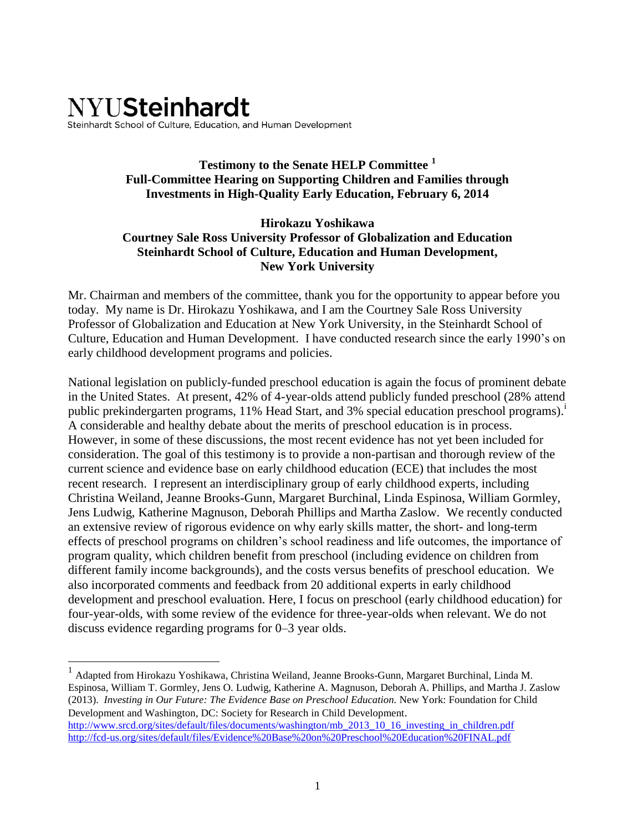# **NYUSteinhardt** Steinhardt School of Culture, Education, and Human Development

## **Testimony to the Senate HELP Committee <sup>1</sup> Full-Committee Hearing on Supporting Children and Families through Investments in High-Quality Early Education, February 6, 2014**

#### **Hirokazu Yoshikawa Courtney Sale Ross University Professor of Globalization and Education Steinhardt School of Culture, Education and Human Development, New York University**

Mr. Chairman and members of the committee, thank you for the opportunity to appear before you today. My name is Dr. Hirokazu Yoshikawa, and I am the Courtney Sale Ross University Professor of Globalization and Education at New York University, in the Steinhardt School of Culture, Education and Human Development. I have conducted research since the early 1990's on early childhood development programs and policies.

National legislation on publicly-funded preschool education is again the focus of prominent debate in the United States. At present, 42% of 4-year-olds attend publicly funded preschool (28% attend public prekindergarten programs, 11% Head Start, and 3% special education preschool programs).<sup>1</sup> A considerable and healthy debate about the merits of preschool education is in process. However, in some of these discussions, the most recent evidence has not yet been included for consideration. The goal of this testimony is to provide a non-partisan and thorough review of the current science and evidence base on early childhood education (ECE) that includes the most recent research. I represent an interdisciplinary group of early childhood experts, including Christina Weiland, Jeanne Brooks-Gunn, Margaret Burchinal, Linda Espinosa, William Gormley, Jens Ludwig, Katherine Magnuson, Deborah Phillips and Martha Zaslow. We recently conducted an extensive review of rigorous evidence on why early skills matter, the short- and long-term effects of preschool programs on children's school readiness and life outcomes, the importance of program quality, which children benefit from preschool (including evidence on children from different family income backgrounds), and the costs versus benefits of preschool education. We also incorporated comments and feedback from 20 additional experts in early childhood development and preschool evaluation. Here, I focus on preschool (early childhood education) for four-year-olds, with some review of the evidence for three-year-olds when relevant. We do not discuss evidence regarding programs for 0–3 year olds.

 1 Adapted from Hirokazu Yoshikawa, Christina Weiland, Jeanne Brooks-Gunn, Margaret Burchinal, Linda M. Espinosa, William T. Gormley, Jens O. Ludwig, Katherine A. Magnuson, Deborah A. Phillips, and Martha J. Zaslow (2013). *Investing in Our Future: The Evidence Base on Preschool Education.* New York: Foundation for Child Development and Washington, DC: Society for Research in Child Development. [http://www.srcd.org/sites/default/files/documents/washington/mb\\_2013\\_10\\_16\\_investing\\_in\\_children.pdf](http://www.srcd.org/sites/default/files/documents/washington/mb_2013_10_16_investing_in_children.pdf) <http://fcd-us.org/sites/default/files/Evidence%20Base%20on%20Preschool%20Education%20FINAL.pdf>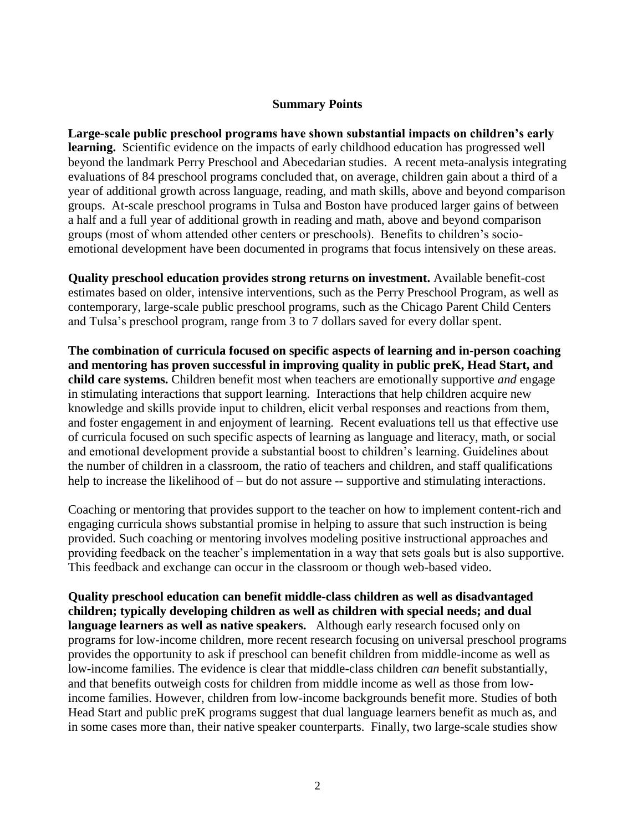#### **Summary Points**

**Large-scale public preschool programs have shown substantial impacts on children's early learning.** Scientific evidence on the impacts of early childhood education has progressed well beyond the landmark Perry Preschool and Abecedarian studies. A recent meta-analysis integrating evaluations of 84 preschool programs concluded that, on average, children gain about a third of a year of additional growth across language, reading, and math skills, above and beyond comparison groups. At-scale preschool programs in Tulsa and Boston have produced larger gains of between a half and a full year of additional growth in reading and math, above and beyond comparison groups (most of whom attended other centers or preschools). Benefits to children's socioemotional development have been documented in programs that focus intensively on these areas.

**Quality preschool education provides strong returns on investment.** Available benefit-cost estimates based on older, intensive interventions, such as the Perry Preschool Program, as well as contemporary, large-scale public preschool programs, such as the Chicago Parent Child Centers and Tulsa's preschool program, range from 3 to 7 dollars saved for every dollar spent.

**The combination of curricula focused on specific aspects of learning and in-person coaching and mentoring has proven successful in improving quality in public preK, Head Start, and child care systems.** Children benefit most when teachers are emotionally supportive *and* engage in stimulating interactions that support learning. Interactions that help children acquire new knowledge and skills provide input to children, elicit verbal responses and reactions from them, and foster engagement in and enjoyment of learning. Recent evaluations tell us that effective use of curricula focused on such specific aspects of learning as language and literacy, math, or social and emotional development provide a substantial boost to children's learning. Guidelines about the number of children in a classroom, the ratio of teachers and children, and staff qualifications help to increase the likelihood of – but do not assure -- supportive and stimulating interactions.

Coaching or mentoring that provides support to the teacher on how to implement content-rich and engaging curricula shows substantial promise in helping to assure that such instruction is being provided. Such coaching or mentoring involves modeling positive instructional approaches and providing feedback on the teacher's implementation in a way that sets goals but is also supportive. This feedback and exchange can occur in the classroom or though web-based video.

**Quality preschool education can benefit middle-class children as well as disadvantaged children; typically developing children as well as children with special needs; and dual language learners as well as native speakers.** Although early research focused only on programs for low-income children, more recent research focusing on universal preschool programs provides the opportunity to ask if preschool can benefit children from middle-income as well as low-income families. The evidence is clear that middle-class children *can* benefit substantially, and that benefits outweigh costs for children from middle income as well as those from lowincome families. However, children from low-income backgrounds benefit more. Studies of both Head Start and public preK programs suggest that dual language learners benefit as much as, and in some cases more than, their native speaker counterparts. Finally, two large-scale studies show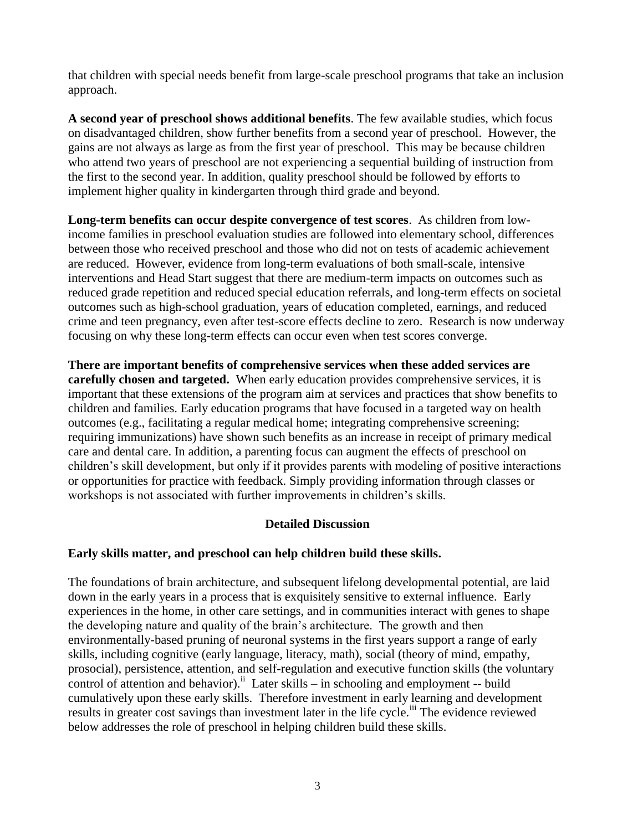that children with special needs benefit from large-scale preschool programs that take an inclusion approach.

**A second year of preschool shows additional benefits**. The few available studies, which focus on disadvantaged children, show further benefits from a second year of preschool. However, the gains are not always as large as from the first year of preschool. This may be because children who attend two years of preschool are not experiencing a sequential building of instruction from the first to the second year. In addition, quality preschool should be followed by efforts to implement higher quality in kindergarten through third grade and beyond.

**Long-term benefits can occur despite convergence of test scores**. As children from lowincome families in preschool evaluation studies are followed into elementary school, differences between those who received preschool and those who did not on tests of academic achievement are reduced. However, evidence from long-term evaluations of both small-scale, intensive interventions and Head Start suggest that there are medium-term impacts on outcomes such as reduced grade repetition and reduced special education referrals, and long-term effects on societal outcomes such as high-school graduation, years of education completed, earnings, and reduced crime and teen pregnancy, even after test-score effects decline to zero. Research is now underway focusing on why these long-term effects can occur even when test scores converge.

**There are important benefits of comprehensive services when these added services are carefully chosen and targeted.** When early education provides comprehensive services, it is important that these extensions of the program aim at services and practices that show benefits to children and families. Early education programs that have focused in a targeted way on health outcomes (e.g., facilitating a regular medical home; integrating comprehensive screening; requiring immunizations) have shown such benefits as an increase in receipt of primary medical care and dental care. In addition, a parenting focus can augment the effects of preschool on children's skill development, but only if it provides parents with modeling of positive interactions or opportunities for practice with feedback. Simply providing information through classes or workshops is not associated with further improvements in children's skills.

## **Detailed Discussion**

## **Early skills matter, and preschool can help children build these skills.**

The foundations of brain architecture, and subsequent lifelong developmental potential, are laid down in the early years in a process that is exquisitely sensitive to external influence. Early experiences in the home, in other care settings, and in communities interact with genes to shape the developing nature and quality of the brain's architecture. The growth and then environmentally-based pruning of neuronal systems in the first years support a range of early skills, including cognitive (early language, literacy, math), social (theory of mind, empathy, prosocial), persistence, attention, and self-regulation and executive function skills (the voluntary control of attention and behavior).<sup>ii</sup> Later skills – in schooling and employment -- build cumulatively upon these early skills. Therefore investment in early learning and development results in greater cost savings than investment later in the life cycle.<sup>iii</sup> The evidence reviewed below addresses the role of preschool in helping children build these skills.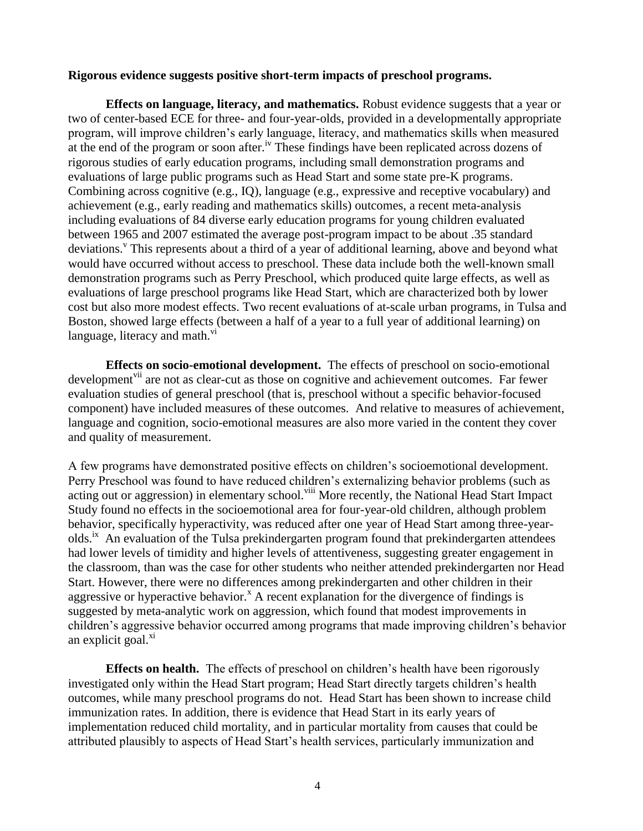#### **Rigorous evidence suggests positive short-term impacts of preschool programs.**

**Effects on language, literacy, and mathematics.** Robust evidence suggests that a year or two of center-based ECE for three- and four-year-olds, provided in a developmentally appropriate program, will improve children's early language, literacy, and mathematics skills when measured at the end of the program or soon after.<sup>iv</sup> These findings have been replicated across dozens of rigorous studies of early education programs, including small demonstration programs and evaluations of large public programs such as Head Start and some state pre-K programs. Combining across cognitive (e.g., IQ), language (e.g., expressive and receptive vocabulary) and achievement (e.g., early reading and mathematics skills) outcomes, a recent meta-analysis including evaluations of 84 diverse early education programs for young children evaluated between 1965 and 2007 estimated the average post-program impact to be about .35 standard deviations.<sup>V</sup> This represents about a third of a year of additional learning, above and beyond what would have occurred without access to preschool. These data include both the well-known small demonstration programs such as Perry Preschool, which produced quite large effects, as well as evaluations of large preschool programs like Head Start, which are characterized both by lower cost but also more modest effects. Two recent evaluations of at-scale urban programs, in Tulsa and Boston, showed large effects (between a half of a year to a full year of additional learning) on language, literacy and math. $\frac{vi}{i}$ 

**Effects on socio-emotional development.** The effects of preschool on socio-emotional development<sup>vii</sup> are not as clear-cut as those on cognitive and achievement outcomes. Far fewer evaluation studies of general preschool (that is, preschool without a specific behavior-focused component) have included measures of these outcomes. And relative to measures of achievement, language and cognition, socio-emotional measures are also more varied in the content they cover and quality of measurement.

A few programs have demonstrated positive effects on children's socioemotional development. Perry Preschool was found to have reduced children's externalizing behavior problems (such as acting out or aggression) in elementary school.<sup>viii</sup> More recently, the National Head Start Impact Study found no effects in the socioemotional area for four-year-old children, although problem behavior, specifically hyperactivity, was reduced after one year of Head Start among three-yearolds.<sup>ix</sup> An evaluation of the Tulsa prekindergarten program found that prekindergarten attendees had lower levels of timidity and higher levels of attentiveness, suggesting greater engagement in the classroom, than was the case for other students who neither attended prekindergarten nor Head Start. However, there were no differences among prekindergarten and other children in their aggressive or hyperactive behavior.<sup> $x$ </sup> A recent explanation for the divergence of findings is suggested by meta-analytic work on aggression, which found that modest improvements in children's aggressive behavior occurred among programs that made improving children's behavior an explicit goal. $^{x_1}$ 

**Effects on health.** The effects of preschool on children's health have been rigorously investigated only within the Head Start program; Head Start directly targets children's health outcomes, while many preschool programs do not. Head Start has been shown to increase child immunization rates. In addition, there is evidence that Head Start in its early years of implementation reduced child mortality, and in particular mortality from causes that could be attributed plausibly to aspects of Head Start's health services, particularly immunization and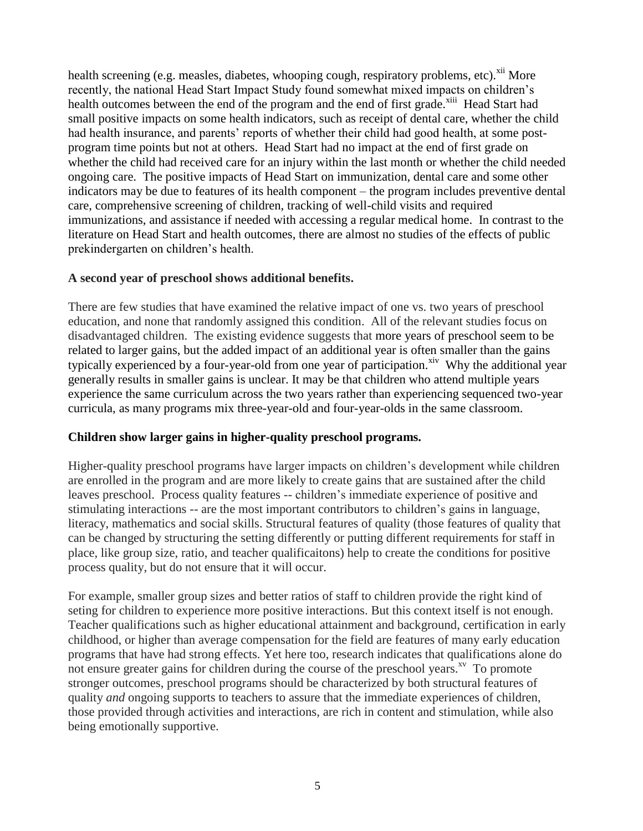health screening (e.g. measles, diabetes, whooping cough, respiratory problems, etc).<sup>xii</sup> More recently, the national Head Start Impact Study found somewhat mixed impacts on children's health outcomes between the end of the program and the end of first grade.<sup>xiii</sup> Head Start had small positive impacts on some health indicators, such as receipt of dental care, whether the child had health insurance, and parents' reports of whether their child had good health, at some postprogram time points but not at others. Head Start had no impact at the end of first grade on whether the child had received care for an injury within the last month or whether the child needed ongoing care. The positive impacts of Head Start on immunization, dental care and some other indicators may be due to features of its health component – the program includes preventive dental care, comprehensive screening of children, tracking of well-child visits and required immunizations, and assistance if needed with accessing a regular medical home. In contrast to the literature on Head Start and health outcomes, there are almost no studies of the effects of public prekindergarten on children's health.

#### **A second year of preschool shows additional benefits.**

There are few studies that have examined the relative impact of one vs. two years of preschool education, and none that randomly assigned this condition. All of the relevant studies focus on disadvantaged children. The existing evidence suggests that more years of preschool seem to be related to larger gains, but the added impact of an additional year is often smaller than the gains typically experienced by a four-year-old from one year of participation.<sup>xiv</sup> Why the additional year generally results in smaller gains is unclear. It may be that children who attend multiple years experience the same curriculum across the two years rather than experiencing sequenced two-year curricula, as many programs mix three-year-old and four-year-olds in the same classroom.

## **Children show larger gains in higher-quality preschool programs.**

Higher-quality preschool programs have larger impacts on children's development while children are enrolled in the program and are more likely to create gains that are sustained after the child leaves preschool. Process quality features -- children's immediate experience of positive and stimulating interactions -- are the most important contributors to children's gains in language, literacy, mathematics and social skills. Structural features of quality (those features of quality that can be changed by structuring the setting differently or putting different requirements for staff in place, like group size, ratio, and teacher qualificaitons) help to create the conditions for positive process quality, but do not ensure that it will occur.

For example, smaller group sizes and better ratios of staff to children provide the right kind of seting for children to experience more positive interactions. But this context itself is not enough. Teacher qualifications such as higher educational attainment and background, certification in early childhood, or higher than average compensation for the field are features of many early education programs that have had strong effects. Yet here too, research indicates that qualifications alone do not ensure greater gains for children during the course of the preschool years. $X^V$  To promote stronger outcomes, preschool programs should be characterized by both structural features of quality *and* ongoing supports to teachers to assure that the immediate experiences of children, those provided through activities and interactions, are rich in content and stimulation, while also being emotionally supportive.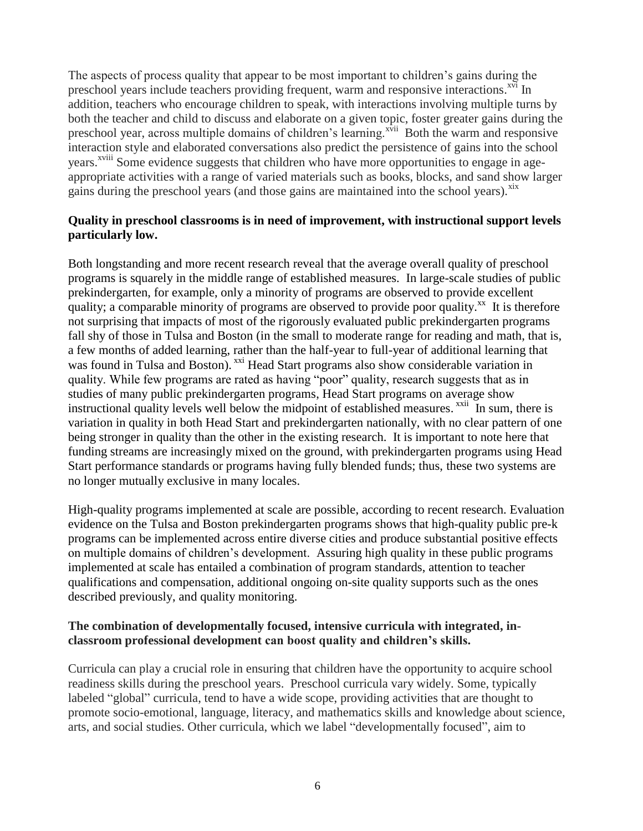The aspects of process quality that appear to be most important to children's gains during the preschool years include teachers providing frequent, warm and responsive interactions.<sup>xvi</sup> In addition, teachers who encourage children to speak, with interactions involving multiple turns by both the teacher and child to discuss and elaborate on a given topic, foster greater gains during the preschool year, across multiple domains of children's learning.<sup>xvii</sup> Both the warm and responsive interaction style and elaborated conversations also predict the persistence of gains into the school years.<sup>xviii</sup> Some evidence suggests that children who have more opportunities to engage in ageappropriate activities with a range of varied materials such as books, blocks, and sand show larger gains during the preschool years (and those gains are maintained into the school years).<sup>xix</sup>

## **Quality in preschool classrooms is in need of improvement, with instructional support levels particularly low.**

Both longstanding and more recent research reveal that the average overall quality of preschool programs is squarely in the middle range of established measures. In large-scale studies of public prekindergarten, for example, only a minority of programs are observed to provide excellent quality; a comparable minority of programs are observed to provide poor quality.<sup>xx</sup> It is therefore not surprising that impacts of most of the rigorously evaluated public prekindergarten programs fall shy of those in Tulsa and Boston (in the small to moderate range for reading and math, that is, a few months of added learning, rather than the half-year to full-year of additional learning that was found in Tulsa and Boston). <sup>xxi</sup> Head Start programs also show considerable variation in quality. While few programs are rated as having "poor" quality, research suggests that as in studies of many public prekindergarten programs, Head Start programs on average show instructional quality levels well below the midpoint of established measures.<sup>xxii</sup> In sum, there is variation in quality in both Head Start and prekindergarten nationally, with no clear pattern of one being stronger in quality than the other in the existing research. It is important to note here that funding streams are increasingly mixed on the ground, with prekindergarten programs using Head Start performance standards or programs having fully blended funds; thus, these two systems are no longer mutually exclusive in many locales.

High-quality programs implemented at scale are possible, according to recent research. Evaluation evidence on the Tulsa and Boston prekindergarten programs shows that high-quality public pre-k programs can be implemented across entire diverse cities and produce substantial positive effects on multiple domains of children's development. Assuring high quality in these public programs implemented at scale has entailed a combination of program standards, attention to teacher qualifications and compensation, additional ongoing on-site quality supports such as the ones described previously, and quality monitoring.

## **The combination of developmentally focused, intensive curricula with integrated, inclassroom professional development can boost quality and children's skills.**

Curricula can play a crucial role in ensuring that children have the opportunity to acquire school readiness skills during the preschool years. Preschool curricula vary widely. Some, typically labeled "global" curricula, tend to have a wide scope, providing activities that are thought to promote socio-emotional, language, literacy, and mathematics skills and knowledge about science, arts, and social studies. Other curricula, which we label "developmentally focused", aim to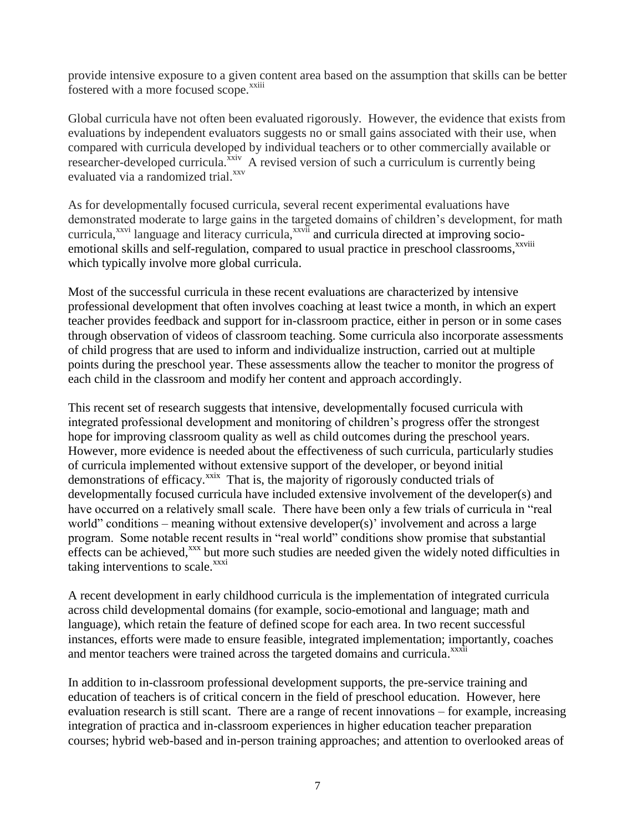provide intensive exposure to a given content area based on the assumption that skills can be better fostered with a more focused scope.<sup>xxiii</sup>

Global curricula have not often been evaluated rigorously. However, the evidence that exists from evaluations by independent evaluators suggests no or small gains associated with their use, when compared with curricula developed by individual teachers or to other commercially available or researcher-developed curricula.<sup> $\bar{x}xiv$ </sup> A revised version of such a curriculum is currently being evaluated via a randomized trial.<sup>xxv</sup>

As for developmentally focused curricula, several recent experimental evaluations have demonstrated moderate to large gains in the targeted domains of children's development, for math curricula,<sup>xxvi</sup> language and literacy curricula,<sup>xxvii</sup> and curricula directed at improving socioemotional skills and self-regulation, compared to usual practice in preschool classrooms,<sup>xxviii</sup> which typically involve more global curricula.

Most of the successful curricula in these recent evaluations are characterized by intensive professional development that often involves coaching at least twice a month, in which an expert teacher provides feedback and support for in-classroom practice, either in person or in some cases through observation of videos of classroom teaching. Some curricula also incorporate assessments of child progress that are used to inform and individualize instruction, carried out at multiple points during the preschool year. These assessments allow the teacher to monitor the progress of each child in the classroom and modify her content and approach accordingly.

This recent set of research suggests that intensive, developmentally focused curricula with integrated professional development and monitoring of children's progress offer the strongest hope for improving classroom quality as well as child outcomes during the preschool years. However, more evidence is needed about the effectiveness of such curricula, particularly studies of curricula implemented without extensive support of the developer, or beyond initial demonstrations of efficacy.<sup>xxix</sup> That is, the majority of rigorously conducted trials of developmentally focused curricula have included extensive involvement of the developer(s) and have occurred on a relatively small scale. There have been only a few trials of curricula in "real world" conditions – meaning without extensive developer(s)' involvement and across a large program. Some notable recent results in "real world" conditions show promise that substantial effects can be achieved,<sup>xxx</sup> but more such studies are needed given the widely noted difficulties in taking interventions to scale. $^{xxxi}$ 

A recent development in early childhood curricula is the implementation of integrated curricula across child developmental domains (for example, socio-emotional and language; math and language), which retain the feature of defined scope for each area. In two recent successful instances, efforts were made to ensure feasible, integrated implementation; importantly, coaches and mentor teachers were trained across the targeted domains and curricula.<sup>xxxii</sup>

In addition to in-classroom professional development supports, the pre-service training and education of teachers is of critical concern in the field of preschool education. However, here evaluation research is still scant. There are a range of recent innovations – for example, increasing integration of practica and in-classroom experiences in higher education teacher preparation courses; hybrid web-based and in-person training approaches; and attention to overlooked areas of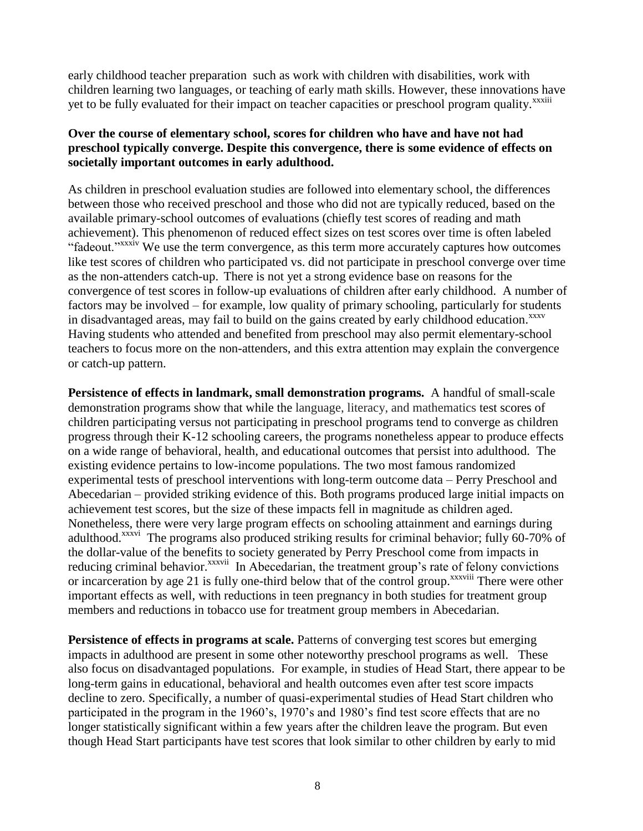early childhood teacher preparation such as work with children with disabilities, work with children learning two languages, or teaching of early math skills. However, these innovations have yet to be fully evaluated for their impact on teacher capacities or preschool program quality.<sup>xxxiii</sup>

#### **Over the course of elementary school, scores for children who have and have not had preschool typically converge. Despite this convergence, there is some evidence of effects on societally important outcomes in early adulthood.**

As children in preschool evaluation studies are followed into elementary school, the differences between those who received preschool and those who did not are typically reduced, based on the available primary-school outcomes of evaluations (chiefly test scores of reading and math achievement). This phenomenon of reduced effect sizes on test scores over time is often labeled "fadeout."<sup>xxxiv</sup> We use the term convergence, as this term more accurately captures how outcomes like test scores of children who participated vs. did not participate in preschool converge over time as the non-attenders catch-up. There is not yet a strong evidence base on reasons for the convergence of test scores in follow-up evaluations of children after early childhood. A number of factors may be involved – for example, low quality of primary schooling, particularly for students in disadvantaged areas, may fail to build on the gains created by early childhood education. XXXV Having students who attended and benefited from preschool may also permit elementary-school teachers to focus more on the non-attenders, and this extra attention may explain the convergence or catch-up pattern.

**Persistence of effects in landmark, small demonstration programs.** A handful of small-scale demonstration programs show that while the language, literacy, and mathematics test scores of children participating versus not participating in preschool programs tend to converge as children progress through their K-12 schooling careers, the programs nonetheless appear to produce effects on a wide range of behavioral, health, and educational outcomes that persist into adulthood. The existing evidence pertains to low-income populations. The two most famous randomized experimental tests of preschool interventions with long-term outcome data – Perry Preschool and Abecedarian – provided striking evidence of this. Both programs produced large initial impacts on achievement test scores, but the size of these impacts fell in magnitude as children aged. Nonetheless, there were very large program effects on schooling attainment and earnings during adulthood.<sup>xxxvi</sup> The programs also produced striking results for criminal behavior; fully 60-70% of the dollar-value of the benefits to society generated by Perry Preschool come from impacts in reducing criminal behavior.<sup>xxxvii</sup> In Abecedarian, the treatment group's rate of felony convictions or incarceration by age 21 is fully one-third below that of the control group.<sup>xxxviii</sup> There were other important effects as well, with reductions in teen pregnancy in both studies for treatment group members and reductions in tobacco use for treatment group members in Abecedarian.

**Persistence of effects in programs at scale.** Patterns of converging test scores but emerging impacts in adulthood are present in some other noteworthy preschool programs as well. These also focus on disadvantaged populations. For example, in studies of Head Start, there appear to be long-term gains in educational, behavioral and health outcomes even after test score impacts decline to zero. Specifically, a number of quasi-experimental studies of Head Start children who participated in the program in the 1960's, 1970's and 1980's find test score effects that are no longer statistically significant within a few years after the children leave the program. But even though Head Start participants have test scores that look similar to other children by early to mid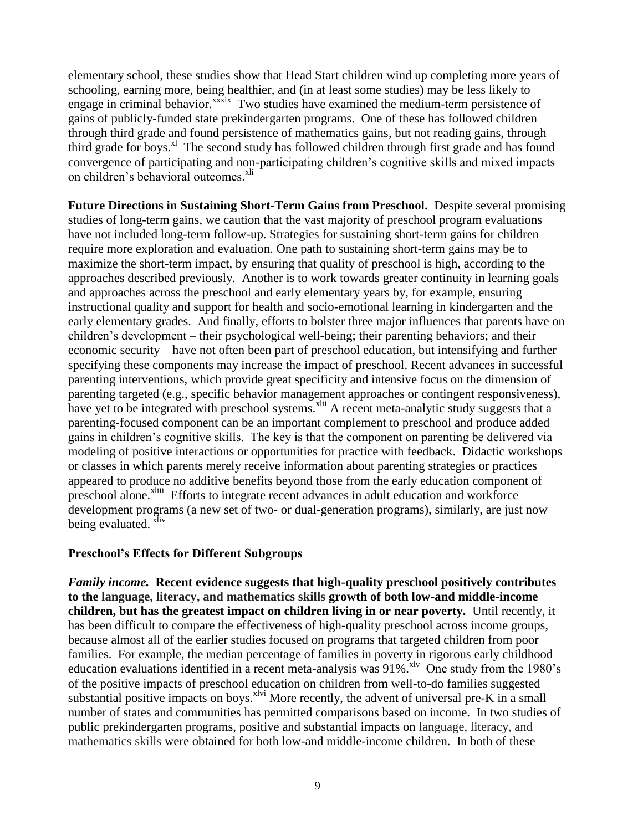elementary school, these studies show that Head Start children wind up completing more years of schooling, earning more, being healthier, and (in at least some studies) may be less likely to engage in criminal behavior.<sup>xxxix</sup> Two studies have examined the medium-term persistence of gains of publicly-funded state prekindergarten programs. One of these has followed children through third grade and found persistence of mathematics gains, but not reading gains, through third grade for boys.<sup>x1</sup> The second study has followed children through first grade and has found convergence of participating and non-participating children's cognitive skills and mixed impacts on children's behavioral outcomes.<sup>xli</sup>

**Future Directions in Sustaining Short-Term Gains from Preschool.** Despite several promising studies of long-term gains, we caution that the vast majority of preschool program evaluations have not included long-term follow-up. Strategies for sustaining short-term gains for children require more exploration and evaluation. One path to sustaining short-term gains may be to maximize the short-term impact, by ensuring that quality of preschool is high, according to the approaches described previously. Another is to work towards greater continuity in learning goals and approaches across the preschool and early elementary years by, for example, ensuring instructional quality and support for health and socio-emotional learning in kindergarten and the early elementary grades. And finally, efforts to bolster three major influences that parents have on children's development – their psychological well-being; their parenting behaviors; and their economic security – have not often been part of preschool education, but intensifying and further specifying these components may increase the impact of preschool. Recent advances in successful parenting interventions, which provide great specificity and intensive focus on the dimension of parenting targeted (e.g., specific behavior management approaches or contingent responsiveness), have yet to be integrated with preschool systems.<sup>xlii</sup> A recent meta-analytic study suggests that a parenting-focused component can be an important complement to preschool and produce added gains in children's cognitive skills. The key is that the component on parenting be delivered via modeling of positive interactions or opportunities for practice with feedback. Didactic workshops or classes in which parents merely receive information about parenting strategies or practices appeared to produce no additive benefits beyond those from the early education component of preschool alone.<sup>xliii</sup> Efforts to integrate recent advances in adult education and workforce development programs (a new set of two- or dual-generation programs), similarly, are just now being evaluated. <sup>xliv</sup>

#### **Preschool's Effects for Different Subgroups**

*Family income.* **Recent evidence suggests that high-quality preschool positively contributes to the language, literacy, and mathematics skills growth of both low-and middle-income children, but has the greatest impact on children living in or near poverty.** Until recently, it has been difficult to compare the effectiveness of high-quality preschool across income groups, because almost all of the earlier studies focused on programs that targeted children from poor families. For example, the median percentage of families in poverty in rigorous early childhood education evaluations identified in a recent meta-analysis was  $91\%$ .<sup>xlv</sup> One study from the 1980's of the positive impacts of preschool education on children from well-to-do families suggested substantial positive impacts on boys.<sup>xlvi</sup> More recently, the advent of universal pre-K in a small number of states and communities has permitted comparisons based on income. In two studies of public prekindergarten programs, positive and substantial impacts on language, literacy, and mathematics skills were obtained for both low-and middle-income children. In both of these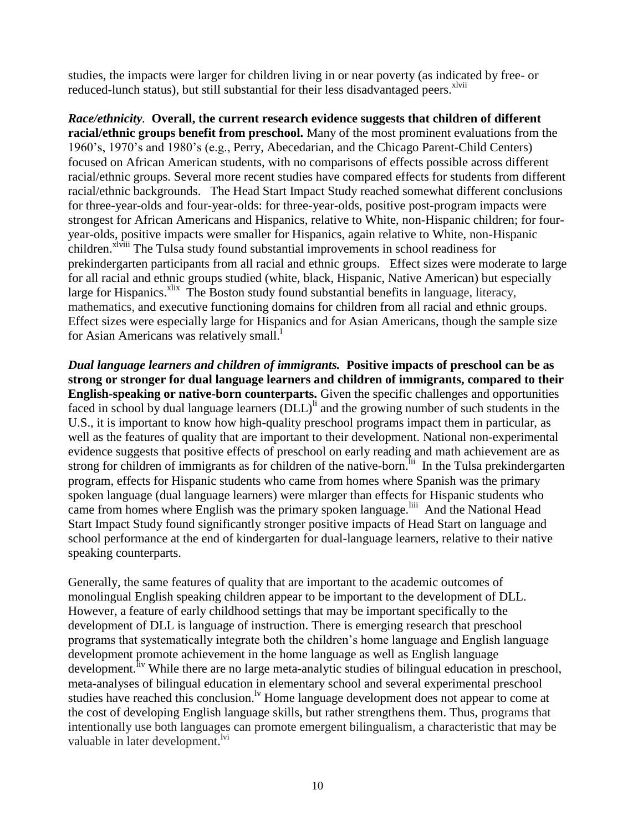studies, the impacts were larger for children living in or near poverty (as indicated by free- or reduced-lunch status), but still substantial for their less disadvantaged peers.<sup>xlvii</sup>

*Race/ethnicity.* **Overall, the current research evidence suggests that children of different racial/ethnic groups benefit from preschool.** Many of the most prominent evaluations from the 1960's, 1970's and 1980's (e.g., Perry, Abecedarian, and the Chicago Parent-Child Centers) focused on African American students, with no comparisons of effects possible across different racial/ethnic groups. Several more recent studies have compared effects for students from different racial/ethnic backgrounds. The Head Start Impact Study reached somewhat different conclusions for three-year-olds and four-year-olds: for three-year-olds, positive post-program impacts were strongest for African Americans and Hispanics, relative to White, non-Hispanic children; for fouryear-olds, positive impacts were smaller for Hispanics, again relative to White, non-Hispanic children.<sup>xlviii</sup> The Tulsa study found substantial improvements in school readiness for prekindergarten participants from all racial and ethnic groups. Effect sizes were moderate to large for all racial and ethnic groups studied (white, black, Hispanic, Native American) but especially large for Hispanics.<sup>xlix</sup> The Boston study found substantial benefits in language, literacy, mathematics, and executive functioning domains for children from all racial and ethnic groups. Effect sizes were especially large for Hispanics and for Asian Americans, though the sample size for Asian Americans was relatively small.

*Dual language learners and children of immigrants.* **Positive impacts of preschool can be as strong or stronger for dual language learners and children of immigrants, compared to their English-speaking or native-born counterparts.** Given the specific challenges and opportunities faced in school by dual language learners  $(DLL)^{li}$  and the growing number of such students in the U.S., it is important to know how high-quality preschool programs impact them in particular, as well as the features of quality that are important to their development. National non-experimental evidence suggests that positive effects of preschool on early reading and math achievement are as strong for children of immigrants as for children of the native-born.<sup> $\overline{li}$ </sup> In the Tulsa prekindergarten program, effects for Hispanic students who came from homes where Spanish was the primary spoken language (dual language learners) were mlarger than effects for Hispanic students who came from homes where English was the primary spoken language.<sup>liii</sup> And the National Head Start Impact Study found significantly stronger positive impacts of Head Start on language and school performance at the end of kindergarten for dual-language learners, relative to their native speaking counterparts.

Generally, the same features of quality that are important to the academic outcomes of monolingual English speaking children appear to be important to the development of DLL. However, a feature of early childhood settings that may be important specifically to the development of DLL is language of instruction. There is emerging research that preschool programs that systematically integrate both the children's home language and English language development promote achievement in the home language as well as English language development.<sup>fiv</sup> While there are no large meta-analytic studies of bilingual education in preschool, meta-analyses of bilingual education in elementary school and several experimental preschool studies have reached this conclusion.<sup>lv</sup> Home language development does not appear to come at the cost of developing English language skills, but rather strengthens them. Thus, programs that intentionally use both languages can promote emergent bilingualism, a characteristic that may be valuable in later development.<sup>lvi</sup>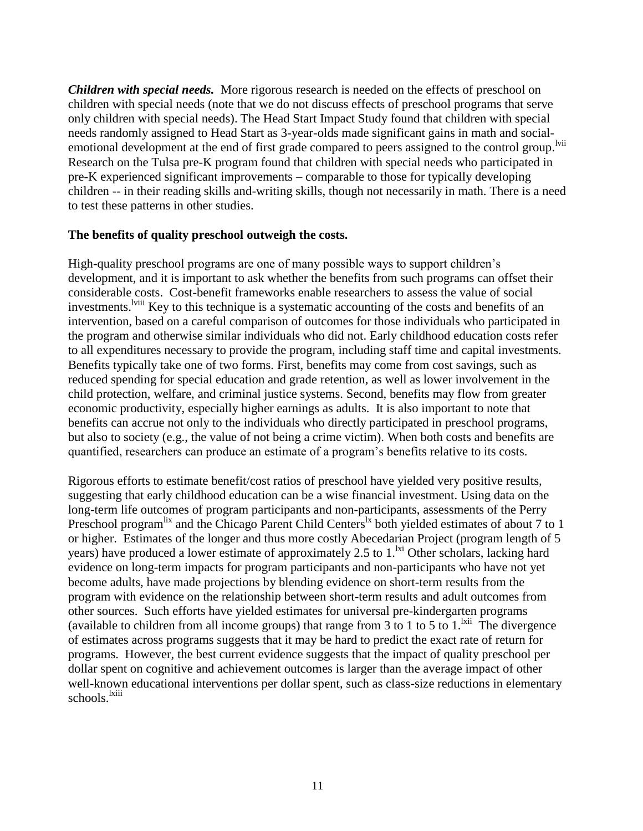*Children with special needs.* More rigorous research is needed on the effects of preschool on children with special needs (note that we do not discuss effects of preschool programs that serve only children with special needs). The Head Start Impact Study found that children with special needs randomly assigned to Head Start as 3-year-olds made significant gains in math and socialemotional development at the end of first grade compared to peers assigned to the control group. <sup>Ivii</sup> Research on the Tulsa pre-K program found that children with special needs who participated in pre-K experienced significant improvements – comparable to those for typically developing children -- in their reading skills and-writing skills, though not necessarily in math. There is a need to test these patterns in other studies.

#### **The benefits of quality preschool outweigh the costs.**

High-quality preschool programs are one of many possible ways to support children's development, and it is important to ask whether the benefits from such programs can offset their considerable costs. Cost-benefit frameworks enable researchers to assess the value of social investments.<sup>Iviii</sup> Key to this technique is a systematic accounting of the costs and benefits of an intervention, based on a careful comparison of outcomes for those individuals who participated in the program and otherwise similar individuals who did not. Early childhood education costs refer to all expenditures necessary to provide the program, including staff time and capital investments. Benefits typically take one of two forms. First, benefits may come from cost savings, such as reduced spending for special education and grade retention, as well as lower involvement in the child protection, welfare, and criminal justice systems. Second, benefits may flow from greater economic productivity, especially higher earnings as adults. It is also important to note that benefits can accrue not only to the individuals who directly participated in preschool programs, but also to society (e.g., the value of not being a crime victim). When both costs and benefits are quantified, researchers can produce an estimate of a program's benefits relative to its costs.

Rigorous efforts to estimate benefit/cost ratios of preschool have yielded very positive results, suggesting that early childhood education can be a wise financial investment. Using data on the long-term life outcomes of program participants and non-participants, assessments of the Perry Preschool program<sup>lix</sup> and the Chicago Parent Child Centers<sup>lx</sup> both yielded estimates of about 7 to 1 or higher. Estimates of the longer and thus more costly Abecedarian Project (program length of 5 years) have produced a lower estimate of approximately 2.5 to  $1.^{ixi}$  Other scholars, lacking hard evidence on long-term impacts for program participants and non-participants who have not yet become adults, have made projections by blending evidence on short-term results from the program with evidence on the relationship between short-term results and adult outcomes from other sources. Such efforts have yielded estimates for universal pre-kindergarten programs (available to children from all income groups) that range from  $3$  to  $1$  to  $5$  to  $1$ . <sup>Ixii</sup> The divergence of estimates across programs suggests that it may be hard to predict the exact rate of return for programs. However, the best current evidence suggests that the impact of quality preschool per dollar spent on cognitive and achievement outcomes is larger than the average impact of other well-known educational interventions per dollar spent, such as class-size reductions in elementary schools.<sup>lxiii</sup>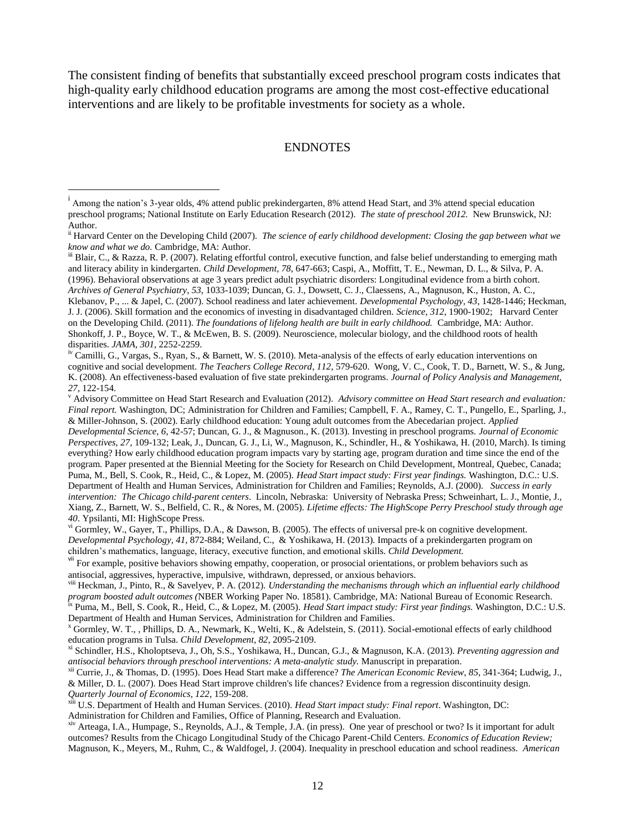The consistent finding of benefits that substantially exceed preschool program costs indicates that high-quality early childhood education programs are among the most cost-effective educational interventions and are likely to be profitable investments for society as a whole.

#### ENDNOTES

 $\overline{a}$ 

 $\mathbb{I}^{\text{ii}}$  Blair, C., & Razza, R. P. (2007). Relating effortful control, executive function, and false belief understanding to emerging math and literacy ability in kindergarten. *Child Development*, *78*, 647-663; Caspi, A., Moffitt, T. E., Newman, D. L., & Silva, P. A. (1996). Behavioral observations at age 3 years predict adult psychiatric disorders: Longitudinal evidence from a birth cohort. *Archives of General Psychiatry*, *53*, 1033-1039; Duncan, G. J., Dowsett, C. J., Claessens, A., Magnuson, K., Huston, A. C., Klebanov, P., ... & Japel, C. (2007). School readiness and later achievement. *Developmental Psychology*, *43*, 1428-1446; Heckman, J. J. (2006). Skill formation and the economics of investing in disadvantaged children. *Science*, *312*, 1900-1902; Harvard Center on the Developing Child. (2011). *The foundations of lifelong health are built in early childhood.* Cambridge, MA: Author. Shonkoff, J. P., Boyce, W. T., & McEwen, B. S. (2009). Neuroscience, molecular biology, and the childhood roots of health disparities. *JAMA, 301*, 2252-2259.

<sup>iv</sup> Camilli, G., Vargas, S., Ryan, S., & Barnett, W. S. (2010). Meta-analysis of the effects of early education interventions on cognitive and social development. *The Teachers College Record*, *112*, 579-620. Wong, V. C., Cook, T. D., Barnett, W. S., & Jung, K. (2008). An effectiveness-based evaluation of five state prekindergarten programs. *Journal of Policy Analysis and Management, 27*, 122-154.

<sup>v</sup> Advisory Committee on Head Start Research and Evaluation (2012). *Advisory committee on Head Start research and evaluation: Final report.* Washington, DC; Administration for Children and Families; Campbell, F. A., Ramey, C. T., Pungello, E., Sparling, J., & Miller-Johnson, S. (2002). Early childhood education: Young adult outcomes from the Abecedarian project. *Applied Developmental Science, 6*, 42-57; Duncan, G. J., & Magnuson., K. (2013). Investing in preschool programs. *Journal of Economic Perspectives*, *27*, 109-132; Leak, J., Duncan, G. J., Li, W., Magnuson, K., Schindler, H., & Yoshikawa, H. (2010, March). Is timing everything? How early childhood education program impacts vary by starting age, program duration and time since the end of the program. Paper presented at the Biennial Meeting for the Society for Research on Child Development, Montreal, Quebec, Canada; Puma, M., Bell, S. Cook, R., Heid, C., & Lopez, M. (2005). *Head Start impact study: First year findings.* Washington, D.C.: U.S. Department of Health and Human Services, Administration for Children and Families; Reynolds, A.J. (2000). *Success in early intervention: The Chicago child-parent centers*. Lincoln, Nebraska: University of Nebraska Press; Schweinhart, L. J., Montie, J., Xiang, Z., Barnett, W. S., Belfield, C. R., & Nores, M. (2005). *Lifetime effects: The HighScope Perry Preschool study through age 40*. Ypsilanti, MI: HighScope Press.

vi Gormley, W., Gayer, T., Phillips, D.A., & Dawson, B. (2005). The effects of universal pre-k on cognitive development. *Developmental Psychology, 41,* 872-884; Weiland, C., & Yoshikawa, H. (2013). Impacts of a prekindergarten program on children's mathematics, language, literacy, executive function, and emotional skills. *Child Development.*

<sup>vii</sup> For example, positive behaviors showing empathy, cooperation, or prosocial orientations, or problem behaviors such as antisocial, aggressives, hyperactive, impulsive, withdrawn, depressed, or anxious behaviors.

viii Heckman, J., Pinto, R., & Savelyev, P. A. (2012). *Understanding the mechanisms through which an influential early childhood program boosted adult outcomes (*NBER Working Paper No. 18581). Cambridge, MA: National Bureau of Economic Research.

ix Puma, M., Bell, S. Cook, R., Heid, C., & Lopez, M. (2005). *Head Start impact study: First year findings.* Washington, D.C.: U.S. Department of Health and Human Services, Administration for Children and Families.

<sup>x</sup> Gormley, W. T., , Phillips, D. A., Newmark, K., Welti, K., & Adelstein, S. (2011). Social-emotional effects of early childhood education programs in Tulsa. *Child Development, 82*, 2095-2109.

xi Schindler, H.S., Kholoptseva, J., Oh, S.S., Yoshikawa, H., Duncan, G.J., & Magnuson, K.A. (2013). *Preventing aggression and antisocial behaviors through preschool interventions: A meta-analytic study.* Manuscript in preparation.

xii Currie, J., & Thomas, D. (1995). Does Head Start make a difference? *The American Economic Review, 85*, 341-364; Ludwig, J., & Miller, D. L. (2007). Does Head Start improve children's life chances? Evidence from a regression discontinuity design. *Quarterly Journal of Economics, 122*, 159-208.

xiii U.S. Department of Health and Human Services. (2010). *Head Start impact study: Final report*. Washington, DC: Administration for Children and Families, Office of Planning, Research and Evaluation.

xiv Arteaga, I.A., Humpage, S., Reynolds, A.J., & Temple, J.A. (in press). One year of preschool or two? Is it important for adult outcomes? Results from the Chicago Longitudinal Study of the Chicago Parent-Child Centers. *Economics of Education Review;* Magnuson, K., Meyers, M., Ruhm, C., & Waldfogel, J. (2004). Inequality in preschool education and school readiness. *American* 

i Among the nation's 3-year olds, 4% attend public prekindergarten, 8% attend Head Start, and 3% attend special education preschool programs; National Institute on Early Education Research (2012). *The state of preschool 2012.* New Brunswick, NJ: Author.

ii Harvard Center on the Developing Child (2007). *The science of early childhood development: Closing the gap between what we know and what we do.* Cambridge, MA: Author.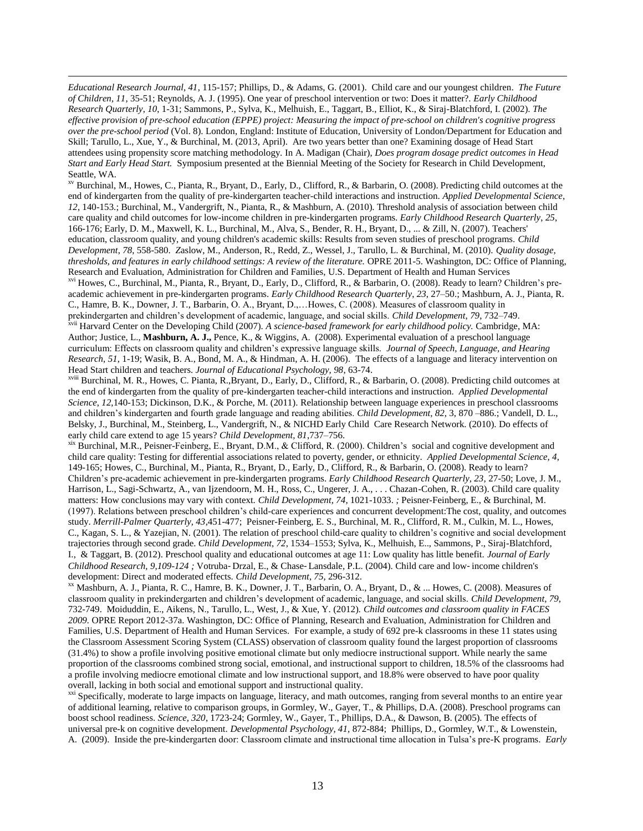*Educational Research Journal, 41*, 115-157; Phillips, D., & Adams, G. (2001). Child care and our youngest children. *The Future of Children, 11,* 35-51; Reynolds, A. J. (1995). One year of preschool intervention or two: Does it matter?. *Early Childhood Research Quarterly*, *10*, 1-31; Sammons, P., Sylva, K., Melhuish, E., Taggart, B., Elliot, K., & Siraj-Blatchford, I. (2002). *The effective provision of pre-school education (EPPE) project: Measuring the impact of pre-school on children's cognitive progress over the pre-school period* (Vol. 8). London, England: Institute of Education, University of London/Department for Education and Skill; Tarullo, L., Xue, Y., & Burchinal, M. (2013, April). Are two years better than one? Examining dosage of Head Start attendees using propensity score matching methodology. In A. Madigan (Chair), *Does program dosage predict outcomes in Head Start and Early Head Start.* Symposium presented at the Biennial Meeting of the Society for Research in Child Development, Seattle, WA.

**.** 

xv Burchinal, M., Howes, C., Pianta, R., Bryant, D., Early, D., Clifford, R., & Barbarin, O. (2008). Predicting child outcomes at the end of kindergarten from the quality of pre-kindergarten teacher-child interactions and instruction. *Applied Developmental Science*, *12*, 140-153.; Burchinal, M., Vandergrift, N., Pianta, R., & Mashburn, A. (2010). Threshold analysis of association between child care quality and child outcomes for low-income children in pre-kindergarten programs. *Early Childhood Research Quarterly*, *25*, 166-176; Early, D. M., Maxwell, K. L., Burchinal, M., Alva, S., Bender, R. H., Bryant, D., ... & Zill, N. (2007). Teachers' education, classroom quality, and young children's academic skills: Results from seven studies of preschool programs. *Child Development*, *78*, 558-580. *Z*aslow, M., Anderson, R., Redd, Z., Wessel, J., Tarullo, L. & Burchinal, M. (2010). *Quality dosage, thresholds, and features in early childhood settings: A review of the literature.* OPRE 2011-5. Washington, DC: Office of Planning, Research and Evaluation, Administration for Children and Families, U.S. Department of Health and Human Services

xvi Howes, C., Burchinal, M., Pianta, R., Bryant, D., Early, D., Clifford, R., & Barbarin, O. (2008). Ready to learn? Children's preacademic achievement in pre-kindergarten programs. *Early Childhood Research Quarterly*, *23*, 27–50.; Mashburn, A. J., Pianta, R. C., Hamre, B. K., Downer, J. T., Barbarin, O. A., Bryant, D.,…Howes, C. (2008). Measures of classroom quality in prekindergarten and children's development of academic, language, and social skills. *Child Development*, *79*, 732–749.

xvii Harvard Center on the Developing Child (2007). *A science-based framework for early childhood policy.* Cambridge, MA: Author; Justice, L., **Mashburn, A. J.,** Pence, K., & Wiggins, A. (2008)*.* Experimental evaluation of a preschool language curriculum: Effects on classroom quality and children's expressive language skills. *Journal of Speech, Language, and Hearing Research, 51*, 1-19; Wasik, B. A., Bond, M. A., & Hindman, A. H. (2006). The effects of a language and literacy intervention on Head Start children and teachers. *Journal of Educational Psychology, 98*, 63-74.

xviii Burchinal, M. R., Howes, C. Pianta, R.,Bryant, D., Early, D., Clifford, R., & Barbarin, O. (2008). Predicting child outcomes at the end of kindergarten from the quality of pre-kindergarten teacher-child interactions and instruction. *Applied Developmental Science*, *12*,140-153; Dickinson, D.K., & Porche, M. (2011). Relationship between language experiences in preschool classrooms and children's kindergarten and fourth grade language and reading abilities. *Child Development, 82*, 3, 870 –886.; Vandell, D. L., Belsky, J., Burchinal, M., Steinberg, L., Vandergrift, N., & NICHD Early Child Care Research Network. (2010). Do effects of early child care extend to age 15 years? *Child Development, 81*,737–756.

xix Burchinal, M.R., Peisner-Feinberg, E., Bryant, D.M., & Clifford, R. (2000). Children's social and cognitive development and child care quality: Testing for differential associations related to poverty, gender, or ethnicity. *Applied Developmental Science, 4*, 149-165; Howes, C., Burchinal, M., Pianta, R., Bryant, D., Early, D., Clifford, R., & Barbarin, O. (2008). Ready to learn? Children's pre-academic achievement in pre-kindergarten programs. *Early Childhood Research Quarterly, 23,* 27-50; Love, J. M., Harrison, L., Sagi-Schwartz, A., van Ijzendoorn, M. H., Ross, C., Ungerer, J. A., . . . Chazan-Cohen, R. (2003). Child care quality matters: How conclusions may vary with context. *Child Development, 74*, 1021-1033. *;* Peisner-Feinberg, E., & Burchinal, M. (1997). Relations between preschool children's child-care experiences and concurrent development:The cost, quality, and outcomes study. *Merrill-Palmer Quarterly, 43*,451-477; Peisner-Feinberg, E. S., Burchinal, M. R., Clifford, R. M., Culkin, M. L., Howes, C., Kagan, S. L., & Yazejian, N. (2001). The relation of preschool child-care quality to children's cognitive and social development trajectories through second grade. *Child Development, 72*, 1534–1553; Sylva, K., Melhuish, E.., Sammons, P., Siraj-Blatchford, I., & Taggart, B. (2012). Preschool quality and educational outcomes at age 11: Low quality has little benefit. *Journal of Early Childhood Research, 9,109-124 ;* Votruba- Drzal, E., & Chase- Lansdale, P.L. (2004). Child care and low- income children's development: Direct and moderated effects. *Child Development*, *75*, 296-312.

xx Mashburn, A. J., Pianta, R. C., Hamre, B. K., Downer, J. T., Barbarin, O. A., Bryant, D., & ... Howes, C. (2008). Measures of classroom quality in prekindergarten and children's development of academic, language, and social skills. *Child Development*, *79*, 732-749. Moiduddin, E., Aikens, N., Tarullo, L., West, J., & Xue, Y. (2012). *Child outcomes and classroom quality in FACES 2009.* OPRE Report 2012-37a. Washington, DC: Office of Planning, Research and Evaluation, Administration for Children and Families, U.S. Department of Health and Human Services. For example, a study of 692 pre-k classrooms in these 11 states using the Classroom Assessment Scoring System (CLASS) observation of classroom quality found the largest proportion of classrooms (31.4%) to show a profile involving positive emotional climate but only mediocre instructional support. While nearly the same proportion of the classrooms combined strong social, emotional, and instructional support to children, 18.5% of the classrooms had a profile involving mediocre emotional climate and low instructional support, and 18.8% were observed to have poor quality overall, lacking in both social and emotional support and instructional quality.

<sup>xxi</sup> Specifically, moderate to large impacts on language, literacy, and math outcomes, ranging from several months to an entire year of additional learning, relative to comparison groups, in Gormley, W., Gayer, T., & Phillips, D.A. (2008). Preschool programs can boost school readiness. *Science, 320*, 1723-24; Gormley, W., Gayer, T., Phillips, D.A., & Dawson, B. (2005). The effects of universal pre-k on cognitive development. *Developmental Psychology, 41,* 872-884; Phillips, D., Gormley, W.T., & Lowenstein, A. (2009). Inside the pre-kindergarten door: Classroom climate and instructional time allocation in Tulsa's pre-K programs. *Early*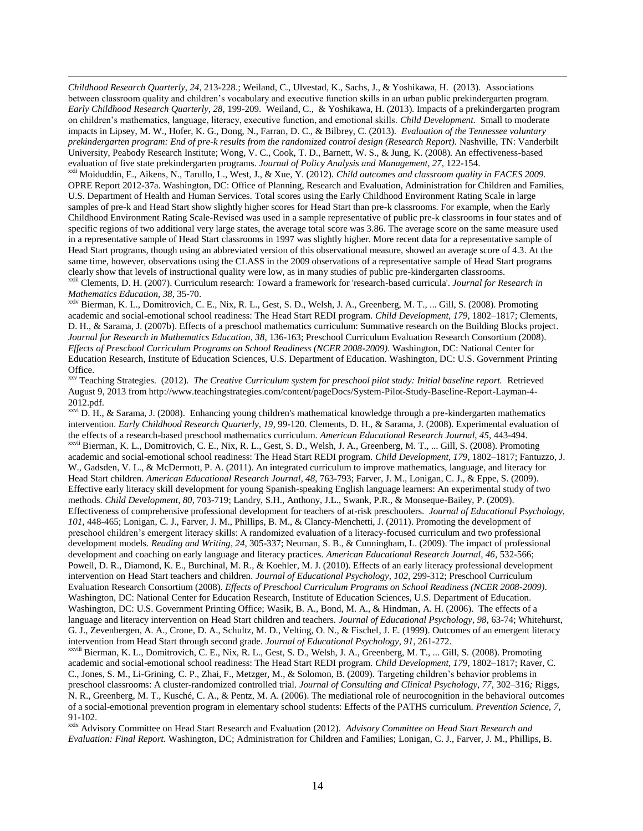*Childhood Research Quarterly, 24*, 213-228.; Weiland, C., Ulvestad, K., Sachs, J., & Yoshikawa, H. (2013). Associations between classroom quality and children's vocabulary and executive function skills in an urban public prekindergarten program. *Early Childhood Research Quarterly, 28,* 199-209. Weiland, C., & Yoshikawa, H. (2013). Impacts of a prekindergarten program on children's mathematics, language, literacy, executive function, and emotional skills. *Child Development.* Small to moderate impacts in Lipsey, M. W., Hofer, K. G., Dong, N., Farran, D. C., & Bilbrey, C. (2013). *Evaluation of the Tennessee voluntary prekindergarten program: End of pre-k results from the randomized control design (Research Report).* Nashville, TN: Vanderbilt University, Peabody Research Institute; Wong, V. C., Cook, T. D., Barnett, W. S., & Jung, K. (2008). An effectiveness-based evaluation of five state prekindergarten programs. *Journal of Policy Analysis and Management, 27*, 122-154.

**.** 

xxii Moiduddin, E., Aikens, N., Tarullo, L., West, J., & Xue, Y. (2012). *Child outcomes and classroom quality in FACES 2009.*  OPRE Report 2012-37a. Washington, DC: Office of Planning, Research and Evaluation, Administration for Children and Families, U.S. Department of Health and Human Services. Total scores using the Early Childhood Environment Rating Scale in large samples of pre-k and Head Start show slightly higher scores for Head Start than pre-k classrooms. For example, when the Early Childhood Environment Rating Scale-Revised was used in a sample representative of public pre-k classrooms in four states and of specific regions of two additional very large states, the average total score was 3.86. The average score on the same measure used in a representative sample of Head Start classrooms in 1997 was slightly higher. More recent data for a representative sample of Head Start programs, though using an abbreviated version of this observational measure, showed an average score of 4.3. At the same time, however, observations using the CLASS in the 2009 observations of a representative sample of Head Start programs clearly show that levels of instructional quality were low, as in many studies of public pre-kindergarten classrooms.

xxiii Clements, D. H. (2007). Curriculum research: Toward a framework for 'research-based curricula'. *Journal for Research in Mathematics Education, 38*, 35-70.

xxiv Bierman, K. L., Domitrovich, C. E., Nix, R. L., Gest, S. D., Welsh, J. A., Greenberg, M. T., ... Gill, S. (2008). Promoting academic and social-emotional school readiness: The Head Start REDI program. *Child Development, 179*, 1802–1817; Clements, D. H., & Sarama, J. (2007b). Effects of a preschool mathematics curriculum: Summative research on the Building Blocks project. *Journal for Research in Mathematics Education, 38*, 136-163; Preschool Curriculum Evaluation Research Consortium (2008). *Effects of Preschool Curriculum Programs on School Readiness (NCER 2008-2009)*. Washington, DC: National Center for Education Research, Institute of Education Sciences, U.S. Department of Education. Washington, DC: U.S. Government Printing Office.

xxv Teaching Strategies. (2012). *The Creative Curriculum system for preschool pilot study: Initial baseline report.* Retrieved August 9, 2013 from http://www.teachingstrategies.com/content/pageDocs/System-Pilot-Study-Baseline-Report-Layman-4- 2012.pdf.

 $x^{xvi}$  D. H., & Sarama, J. (2008). Enhancing young children's mathematical knowledge through a pre-kindergarten mathematics intervention. *Early Childhood Research Quarterly, 19*, 99-120. Clements, D. H., & Sarama, J. (2008). Experimental evaluation of the effects of a research-based preschool mathematics curriculum. *American Educational Research Journal, 45,* 443-494. xxvii Bierman, K. L., Domitrovich, C. E., Nix, R. L., Gest, S. D., Welsh, J. A., Greenberg, M. T., ... Gill, S. (2008). Promoting academic and social-emotional school readiness: The Head Start REDI program. *Child Development, 179*, 1802–1817; Fantuzzo, J. W., Gadsden, V. L., & McDermott, P. A. (2011). An integrated curriculum to improve mathematics, language, and literacy for Head Start children. *American Educational Research Journal*, *48*, 763-793; Farver, J. M., Lonigan, C. J., & Eppe, S. (2009). Effective early literacy skill development for young Spanish-speaking English language learners: An experimental study of two methods. *Child Development*, *80*, 703-719; Landry, S.H., Anthony, J.L., Swank, P.R., & Monseque-Bailey, P. (2009). Effectiveness of comprehensive professional development for teachers of at-risk preschoolers. *Journal of Educational Psychology, 101,* 448-465; Lonigan, C. J., Farver, J. M., Phillips, B. M., & Clancy-Menchetti, J. (2011). Promoting the development of preschool children's emergent literacy skills: A randomized evaluation of a literacy-focused curriculum and two professional development models. *Reading and Writing*, *24*, 305-337; Neuman, S. B., & Cunningham, L. (2009). The impact of professional development and coaching on early language and literacy practices. *American Educational Research Journal, 46*, 532-566; Powell, D. R., Diamond, K. E., Burchinal, M. R., & Koehler, M. J. (2010). Effects of an early literacy professional development intervention on Head Start teachers and children. *Journal of Educational Psychology*, *102*, 299-312; Preschool Curriculum Evaluation Research Consortium (2008). *Effects of Preschool Curriculum Programs on School Readiness (NCER 2008-2009)*. Washington, DC: National Center for Education Research, Institute of Education Sciences, U.S. Department of Education. Washington, DC: U.S. Government Printing Office; Wasik, B. A., Bond, M. A., & Hindman, A. H. (2006). The effects of a language and literacy intervention on Head Start children and teachers. *Journal of Educational Psychology, 98*, 63-74; Whitehurst, G. J., Zevenbergen, A. A., Crone, D. A., Schultz, M. D., Velting, O. N., & Fischel, J. E. (1999). Outcomes of an emergent literacy intervention from Head Start through second grade. *Journal of Educational Psychology*, *91*, 261-272. xxviii Bierman, K. L., Domitrovich, C. E., Nix, R. L., Gest, S. D., Welsh, J. A., Greenberg, M. T., ... Gill, S. (2008). Promoting

academic and social-emotional school readiness: The Head Start REDI program. *Child Development, 179*, 1802–1817; Raver, C. C., Jones, S. M., Li-Grining, C. P., Zhai, F., Metzger, M., & Solomon, B. (2009). Targeting children's behavior problems in preschool classrooms: A cluster-randomized controlled trial. *Journal of Consulting and Clinical Psychology, 77,* 302–316*;* Riggs, N. R., Greenberg, M. T., Kusché, C. A., & Pentz, M. A. (2006). The mediational role of neurocognition in the behavioral outcomes of a social-emotional prevention program in elementary school students: Effects of the PATHS curriculum. *Prevention Science*, *7*, 91-102.

xxix Advisory Committee on Head Start Research and Evaluation (2012). *Advisory Committee on Head Start Research and Evaluation: Final Report.* Washington, DC; Administration for Children and Families; Lonigan, C. J., Farver, J. M., Phillips, B.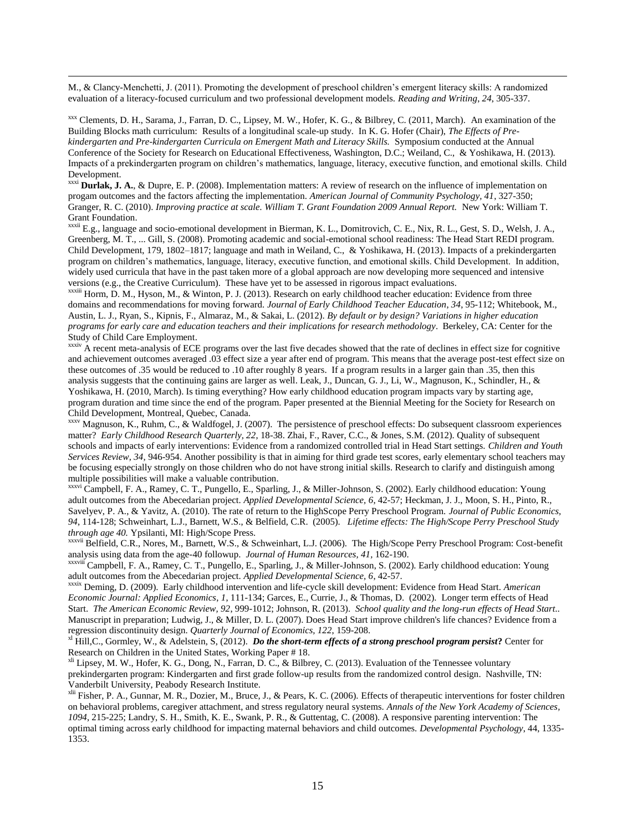M., & Clancy-Menchetti, J. (2011). Promoting the development of preschool children's emergent literacy skills: A randomized evaluation of a literacy-focused curriculum and two professional development models. *Reading and Writing*, *24*, 305-337.

**.** 

xxx Clements, D. H., Sarama, J., Farran, D. C., Lipsey, M. W., Hofer, K. G., & Bilbrey, C. (2011, March). An examination of the Building Blocks math curriculum: Results of a longitudinal scale-up study. In K. G. Hofer (Chair), *The Effects of Prekindergarten and Pre-kindergarten Curricula on Emergent Math and Literacy Skills.* Symposium conducted at the Annual Conference of the Society for Research on Educational Effectiveness, Washington, D.C.; Weiland, C., & Yoshikawa, H. (2013). Impacts of a prekindergarten program on children's mathematics, language, literacy, executive function, and emotional skills. Child Development.

xxxi **Durlak, J. A.**, & Dupre, E. P. (2008). Implementation matters: A review of research on the influence of implementation on progam outcomes and the factors affecting the implementation. *American Journal of Community Psychology, 41*, 327-350; Granger, R. C. (2010). *Improving practice at scale. William T. Grant Foundation 2009 Annual Report.* New York: William T. Grant Foundation.

<sup>xxxii</sup> E.g., language and socio-emotional development in Bierman, K. L., Domitrovich, C. E., Nix, R. L., Gest, S. D., Welsh, J. A., Greenberg, M. T., ... Gill, S. (2008). Promoting academic and social-emotional school readiness: The Head Start REDI program. Child Development, 179, 1802–1817; language and math in Weiland, C., & Yoshikawa, H. (2013). Impacts of a prekindergarten program on children's mathematics, language, literacy, executive function, and emotional skills. Child Development. In addition, widely used curricula that have in the past taken more of a global approach are now developing more sequenced and intensive versions (e.g., the Creative Curriculum). These have yet to be assessed in rigorous impact evaluations.

xxxiii Horm, D. M., Hyson, M., & Winton, P. J. (2013). Research on early childhood teacher education: Evidence from three domains and recommendations for moving forward. *Journal of Early Childhood Teacher Education*, *34*, 95-112; Whitebook, M., Austin, L. J., Ryan, S., Kipnis, F., Almaraz, M., & Sakai, L. (2012). *By default or by design? Variations in higher education programs for early care and education teachers and their implications for research methodology*. Berkeley, CA: Center for the Study of Child Care Employment.

xxxiv A recent meta-analysis of ECE programs over the last five decades showed that the rate of declines in effect size for cognitive and achievement outcomes averaged .03 effect size a year after end of program. This means that the average post-test effect size on these outcomes of .35 would be reduced to .10 after roughly 8 years. If a program results in a larger gain than .35, then this analysis suggests that the continuing gains are larger as well. Leak, J., Duncan, G. J., Li, W., Magnuson, K., Schindler, H., & Yoshikawa, H. (2010, March). Is timing everything? How early childhood education program impacts vary by starting age, program duration and time since the end of the program. Paper presented at the Biennial Meeting for the Society for Research on Child Development, Montreal, Quebec, Canada.

 $\frac{x}{x}$  Magnuson, K., Ruhm, C., & Waldfogel, J. (2007). The persistence of preschool effects: Do subsequent classroom experiences matter? *Early Childhood Research Quarterly, 22*, 18-38. Zhai, F., Raver, C.C., & Jones, S.M. (2012). Quality of subsequent schools and impacts of early interventions: Evidence from a randomized controlled trial in Head Start settings. *Children and Youth Services Review, 34,* 946-954. Another possibility is that in aiming for third grade test scores, early elementary school teachers may be focusing especially strongly on those children who do not have strong initial skills. Research to clarify and distinguish among multiple possibilities will make a valuable contribution.

xxxvi Campbell, F. A., Ramey, C. T., Pungello, E., Sparling, J., & Miller-Johnson, S. (2002). Early childhood education: Young adult outcomes from the Abecedarian project. *Applied Developmental Science, 6*, 42-57; Heckman, J. J., Moon, S. H., Pinto, R., Savelyev, P. A., & Yavitz, A. (2010). The rate of return to the HighScope Perry Preschool Program. *Journal of Public Economics, 94*, 114-128; Schweinhart, L.J., Barnett, W.S., & Belfield, C.R. (2005). *Lifetime effects: The High/Scope Perry Preschool Study through age 40.* Ypsilanti, MI: High/Scope Press.

xxxvii Belfield, C.R., Nores, M., Barnett, W.S., & Schweinhart, L.J. (2006). The High/Scope Perry Preschool Program: Cost-benefit analysis using data from the age-40 followup. *Journal of Human Resources, 41,* 162-190.

xxxviii Campbell, F. A., Ramey, C. T., Pungello, E., Sparling, J., & Miller-Johnson, S. (2002). Early childhood education: Young adult outcomes from the Abecedarian project. *Applied Developmental Science, 6*, 42-57.

xxxix Deming, D. (2009). Early childhood intervention and life-cycle skill development: Evidence from Head Start. *American Economic Journal: Applied Economics*, *1*, 111-134; Garces, E., Currie, J., & Thomas, D. (2002). Longer term effects of Head Start. *The American Economic Review, 92*, 999-1012; Johnson, R. (2013). *School quality and the long-run effects of Head Start..*  Manuscript in preparation; Ludwig, J., & Miller, D. L. (2007). Does Head Start improve children's life chances? Evidence from a regression discontinuity design. *Quarterly Journal of Economics, 122*, 159-208.

xl Hill,C., Gormley, W., & Adelstein, S, (2012). *Do the short-term effects of a strong preschool program persist***?** Center for Research on Children in the United States, Working Paper # 18.

xli Lipsey, M. W., Hofer, K. G., Dong, N., Farran, D. C., & Bilbrey, C. (2013). Evaluation of the Tennessee voluntary prekindergarten program: Kindergarten and first grade follow-up results from the randomized control design. Nashville, TN: Vanderbilt University, Peabody Research Institute.

xlii Fisher, P. A., Gunnar, M. R., Dozier, M., Bruce, J., & Pears, K. C. (2006). Effects of therapeutic interventions for foster children on behavioral problems, caregiver attachment, and stress regulatory neural systems. *Annals of the New York Academy of Sciences, 1094*, 215-225; Landry, S. H., Smith, K. E., Swank, P. R., & Guttentag, C. (2008). A responsive parenting intervention: The optimal timing across early childhood for impacting maternal behaviors and child outcomes. *Developmental Psychology*, 44, 1335- 1353.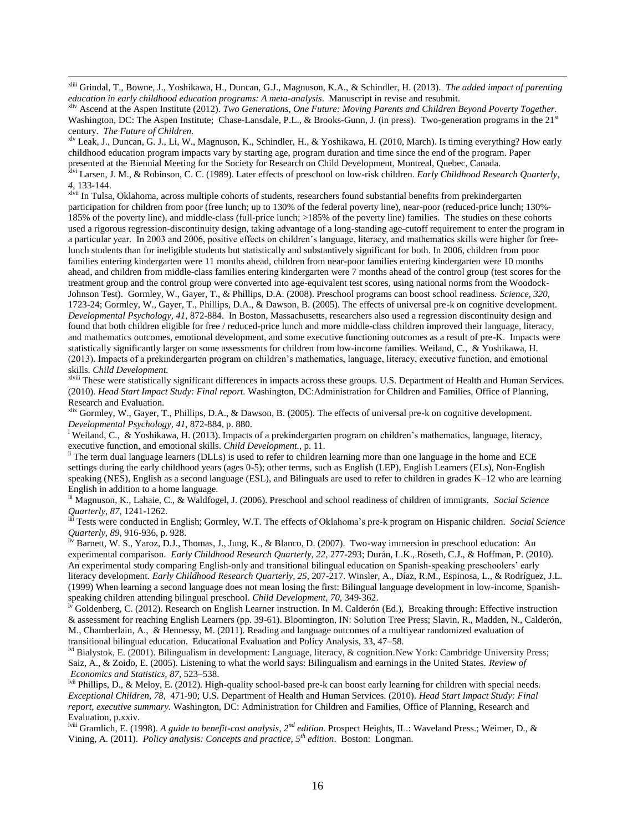xliii Grindal, T., Bowne, J., Yoshikawa, H., Duncan, G.J., Magnuson, K.A., & Schindler, H. (2013). *The added impact of parenting education in early childhood education programs: A meta-analysis*. Manuscript in revise and resubmit.

**.** 

xliv Ascend at the Aspen Institute (2012). *Two Generations, One Future: Moving Parents and Children Beyond Poverty Together.* Washington, DC: The Aspen Institute; Chase-Lansdale, P.L., & Brooks-Gunn, J. (in press). Two-generation programs in the 21<sup>st</sup> century. *The Future of Children.*

xlv Leak, J., Duncan, G. J., Li, W., Magnuson, K., Schindler, H., & Yoshikawa, H. (2010, March). Is timing everything? How early childhood education program impacts vary by starting age, program duration and time since the end of the program. Paper presented at the Biennial Meeting for the Society for Research on Child Development, Montreal, Quebec, Canada.

xlvi Larsen, J. M., & Robinson, C. C. (1989). Later effects of preschool on low-risk children. *Early Childhood Research Quarterly*, *4*, 133-144.

xivii In Tulsa, Oklahoma, across multiple cohorts of students, researchers found substantial benefits from prekindergarten participation for children from poor (free lunch; up to 130% of the federal poverty line), near-poor (reduced-price lunch; 130%- 185% of the poverty line), and middle-class (full-price lunch; >185% of the poverty line) families. The studies on these cohorts used a rigorous regression-discontinuity design, taking advantage of a long-standing age-cutoff requirement to enter the program in a particular year. In 2003 and 2006, positive effects on children's language, literacy, and mathematics skills were higher for freelunch students than for ineligible students but statistically and substantively significant for both. In 2006, children from poor families entering kindergarten were 11 months ahead, children from near-poor families entering kindergarten were 10 months ahead, and children from middle-class families entering kindergarten were 7 months ahead of the control group (test scores for the treatment group and the control group were converted into age-equivalent test scores, using national norms from the Woodock-Johnson Test). Gormley, W., Gayer, T., & Phillips, D.A. (2008). Preschool programs can boost school readiness. *Science, 320*, 1723-24; Gormley, W., Gayer, T., Phillips, D.A., & Dawson, B. (2005). The effects of universal pre-k on cognitive development. *Developmental Psychology, 41,* 872-884. In Boston, Massachusetts, researchers also used a regression discontinuity design and found that both children eligible for free / reduced-price lunch and more middle-class children improved their language, literacy, and mathematics outcomes, emotional development, and some executive functioning outcomes as a result of pre-K. Impacts were statistically significantly larger on some assessments for children from low-income families. Weiland, C., & Yoshikawa, H. (2013). Impacts of a prekindergarten program on children's mathematics, language, literacy, executive function, and emotional skills. *Child Development.*

xiviii These were statistically significant differences in impacts across these groups. U.S. Department of Health and Human Services. (2010). *Head Start Impact Study: Final report.* Washington, DC:Administration for Children and Families, Office of Planning, Research and Evaluation.

 $x$ <sup>lix</sup> Gormley, W., Gayer, T., Phillips, D.A., & Dawson, B. (2005). The effects of universal pre-k on cognitive development. *Developmental Psychology, 41,* 872-884, p. 880.

<sup>1</sup> Weiland, C., & Yoshikawa, H. (2013). Impacts of a prekindergarten program on children's mathematics, language, literacy, executive function, and emotional skills. *Child Development.*, p. 11.

 $\hbox{h}$  The term dual language learners (DLLs) is used to refer to children learning more than one language in the home and ECE settings during the early childhood years (ages 0-5); other terms, such as English (LEP), English Learners (ELs), Non-English speaking (NES), English as a second language (ESL), and Bilinguals are used to refer to children in grades K–12 who are learning English in addition to a home language.

lii Magnuson, K., Lahaie, C., & Waldfogel, J. (2006). Preschool and school readiness of children of immigrants. *Social Science Quarterly*, *87*, 1241-1262.

liii Tests were conducted in English; Gormley, W.T. The effects of Oklahoma's pre-k program on Hispanic children. *Social Science Quarterly, 89*, 916-936, p. 928.

Barnett, W. S., Yaroz, D.J., Thomas, J., Jung, K., & Blanco, D. (2007). Two-way immersion in preschool education: An experimental comparison. *Early Childhood Research Quarterly, 22*, 277-293; Durán, L.K., Roseth, C.J., & Hoffman, P. (2010). An experimental study comparing English-only and transitional bilingual education on Spanish-speaking preschoolers' early literacy development. *Early Childhood Research Quarterly, 25*, 207-217. Winsler, A., Díaz, R.M., Espinosa, L., & Rodríguez, J.L. (1999) When learning a second language does not mean losing the first: Bilingual language development in low-income, Spanishspeaking children attending bilingual preschool. *Child Development, 70,* 349-362.

Goldenberg, C. (2012). Research on English Learner instruction. In M. Calderón (Ed.), Breaking through: Effective instruction & assessment for reaching English Learners (pp. 39-61). Bloomington, IN: Solution Tree Press; Slavin, R., Madden, N., Calderón, M., Chamberlain, A., & Hennessy, M. (2011). Reading and language outcomes of a multiyear randomized evaluation of transitional bilingual education. Educational Evaluation and Policy Analysis, 33, 47–58.

lvi Bialystok, E. (2001). Bilingualism in development: Language, literacy, & cognition.New York: Cambridge University Press; Saiz, A., & Zoido, E. (2005). Listening to what the world says: Bilingualism and earnings in the United States. *Review of Economics and Statistics, 87*, 523–538.

lvii Phillips, D., & Meloy, E. (2012). High-quality school-based pre-k can boost early learning for children with special needs. *Exceptional Children, 78*, 471-90; U.S. Department of Health and Human Services. (2010). *Head Start Impact Study: Final report, executive summary.* Washington, DC: Administration for Children and Families, Office of Planning, Research and Evaluation, p.xxiv.

lviii Gramlich, E. (1998). *A guide to benefit-cost analysis, 2nd edition*. Prospect Heights, IL.: Waveland Press.; Weimer, D., & Vining, A. (2011). *Policy analysis: Concepts and practice, 5th edition*. Boston: Longman.